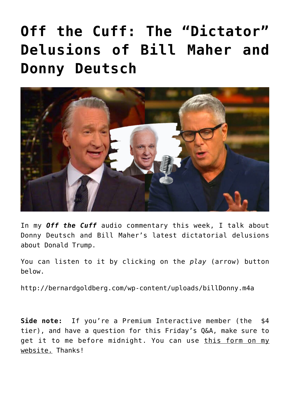## **[Off the Cuff: The "Dictator"](https://bernardgoldberg.com/off-the-cuff-the-dictator-delusions-of-bill-maher-and-donny-deutsch/) [Delusions of Bill Maher and](https://bernardgoldberg.com/off-the-cuff-the-dictator-delusions-of-bill-maher-and-donny-deutsch/) [Donny Deutsch](https://bernardgoldberg.com/off-the-cuff-the-dictator-delusions-of-bill-maher-and-donny-deutsch/)**



In my *Off the Cuff* audio commentary this week, I talk about Donny Deutsch and Bill Maher's latest dictatorial delusions about Donald Trump.

You can listen to it by clicking on the *play* (arrow) button below.

<http://bernardgoldberg.com/wp-content/uploads/billDonny.m4a>

**Side note:** If you're a Premium Interactive member (the \$4 tier), and have a question for this Friday's Q&A, make sure to get it to me before midnight. You can use [this form on my](https://bernardgoldberg.com/submit-a-question-for-bernies-premium-qa/) [website.](https://bernardgoldberg.com/submit-a-question-for-bernies-premium-qa/) Thanks!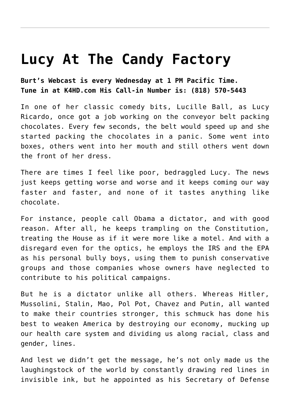## **[Lucy At The Candy Factory](https://bernardgoldberg.com/lucy-candy-factory/)**

**Burt's Webcast is every Wednesday at 1 PM Pacific Time. Tune in at K4HD.com His Call-in Number is: (818) 570-5443**

In one of her classic comedy bits, Lucille Ball, as Lucy Ricardo, once got a job working on the conveyor belt packing chocolates. Every few seconds, the belt would speed up and she started packing the chocolates in a panic. Some went into boxes, others went into her mouth and still others went down the front of her dress.

There are times I feel like poor, bedraggled Lucy. The news just keeps getting worse and worse and it keeps coming our way faster and faster, and none of it tastes anything like chocolate.

For instance, people call Obama a dictator, and with good reason. After all, he keeps trampling on the Constitution, treating the House as if it were more like a motel. And with a disregard even for the optics, he employs the IRS and the EPA as his personal bully boys, using them to punish conservative groups and those companies whose owners have neglected to contribute to his political campaigns.

But he is a dictator unlike all others. Whereas Hitler, Mussolini, Stalin, Mao, Pol Pot, Chavez and Putin, all wanted to make their countries stronger, this schmuck has done his best to weaken America by destroying our economy, mucking up our health care system and dividing us along racial, class and gender, lines.

And lest we didn't get the message, he's not only made us the laughingstock of the world by constantly drawing red lines in invisible ink, but he appointed as his Secretary of Defense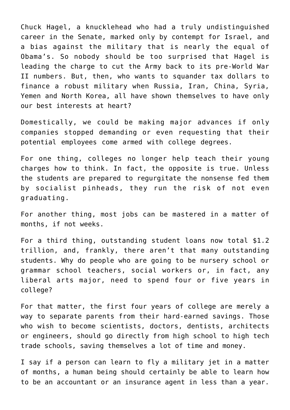Chuck Hagel, a knucklehead who had a truly undistinguished career in the Senate, marked only by contempt for Israel, and a bias against the military that is nearly the equal of Obama's. So nobody should be too surprised that Hagel is leading the charge to cut the Army back to its pre-World War II numbers. But, then, who wants to squander tax dollars to finance a robust military when Russia, Iran, China, Syria, Yemen and North Korea, all have shown themselves to have only our best interests at heart?

Domestically, we could be making major advances if only companies stopped demanding or even requesting that their potential employees come armed with college degrees.

For one thing, colleges no longer help teach their young charges how to think. In fact, the opposite is true. Unless the students are prepared to regurgitate the nonsense fed them by socialist pinheads, they run the risk of not even graduating.

For another thing, most jobs can be mastered in a matter of months, if not weeks.

For a third thing, outstanding student loans now total \$1.2 trillion, and, frankly, there aren't that many outstanding students. Why do people who are going to be nursery school or grammar school teachers, social workers or, in fact, any liberal arts major, need to spend four or five years in college?

For that matter, the first four years of college are merely a way to separate parents from their hard-earned savings. Those who wish to become scientists, doctors, dentists, architects or engineers, should go directly from high school to high tech trade schools, saving themselves a lot of time and money.

I say if a person can learn to fly a military jet in a matter of months, a human being should certainly be able to learn how to be an accountant or an insurance agent in less than a year.